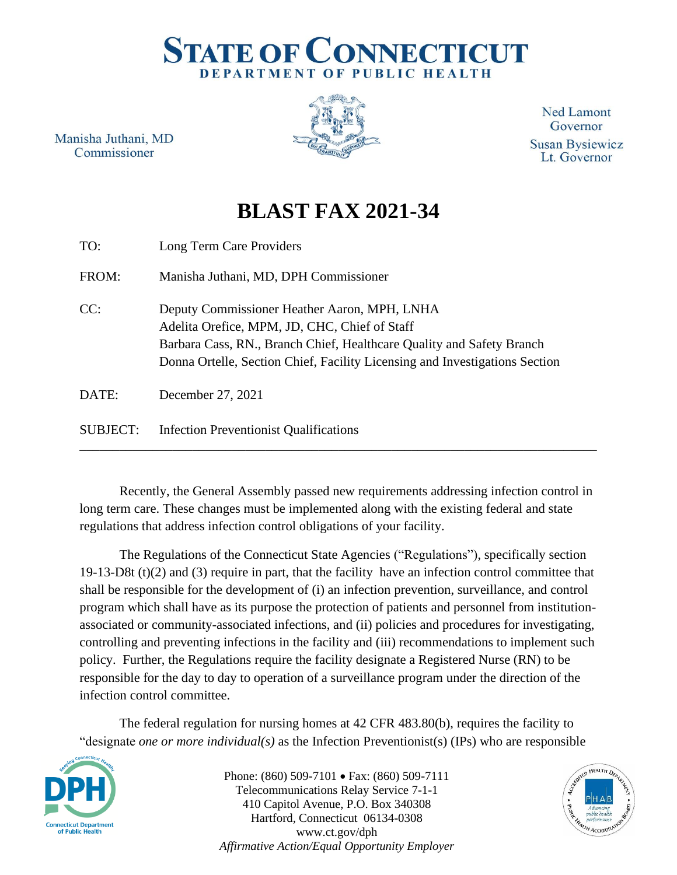## **STATE OF CONNECTICUT** DEPARTMENT OF PUBLIC HEALTH

Manisha Juthani, MD Commissioner



**Ned Lamont** Governor **Susan Bysiewicz** Lt. Governor

## **BLAST FAX 2021-34**

| TO:             | Long Term Care Providers                                                                                                                                                                                                                              |
|-----------------|-------------------------------------------------------------------------------------------------------------------------------------------------------------------------------------------------------------------------------------------------------|
| FROM:           | Manisha Juthani, MD, DPH Commissioner                                                                                                                                                                                                                 |
| CC:             | Deputy Commissioner Heather Aaron, MPH, LNHA<br>Adelita Orefice, MPM, JD, CHC, Chief of Staff<br>Barbara Cass, RN., Branch Chief, Healthcare Quality and Safety Branch<br>Donna Ortelle, Section Chief, Facility Licensing and Investigations Section |
| DATE:           | December 27, 2021                                                                                                                                                                                                                                     |
| <b>SUBJECT:</b> | <b>Infection Preventionist Qualifications</b>                                                                                                                                                                                                         |

Recently, the General Assembly passed new requirements addressing infection control in long term care. These changes must be implemented along with the existing federal and state regulations that address infection control obligations of your facility.

The Regulations of the Connecticut State Agencies ("Regulations"), specifically section 19-13-D8t (t)(2) and (3) require in part, that the facility have an infection control committee that shall be responsible for the development of (i) an infection prevention, surveillance, and control program which shall have as its purpose the protection of patients and personnel from institutionassociated or community-associated infections, and (ii) policies and procedures for investigating, controlling and preventing infections in the facility and (iii) recommendations to implement such policy. Further, the Regulations require the facility designate a Registered Nurse (RN) to be responsible for the day to day to operation of a surveillance program under the direction of the infection control committee.

The federal regulation for nursing homes at 42 CFR 483.80(b), requires the facility to "designate *one or more individual(s)* as the Infection Preventionist(s) (IPs) who are responsible



Phone: (860) 509-7101 • Fax: (860) 509-7111 Telecommunications Relay Service 7-1-1 410 Capitol Avenue, P.O. Box 340308 Hartford, Connecticut 06134-0308 www.ct.gov/dph *Affirmative Action/Equal Opportunity Employer*